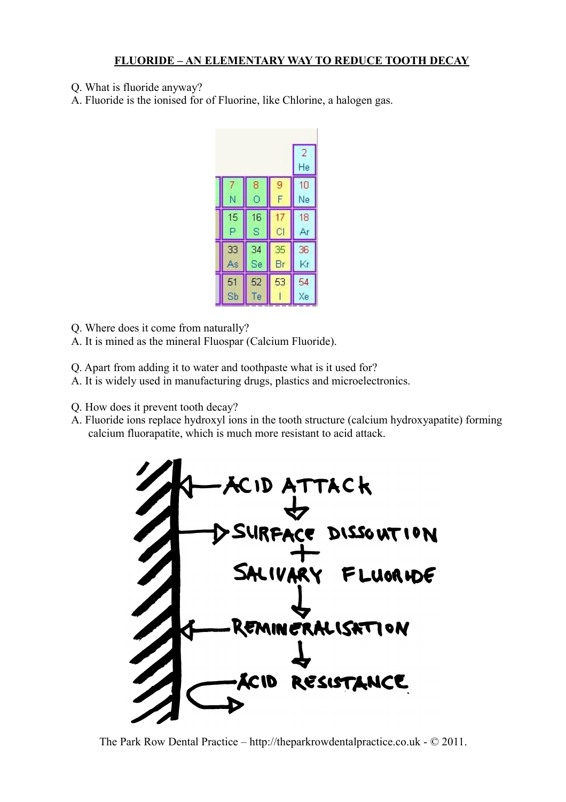## **FLUORIDE – AN ELEMENTARY WAY TO REDUCE TOOTH DECAY**

- Q. What is fluoride anyway?
- A. Fluoride is the ionised for of Fluorine, like Chlorine, a halogen gas.

|    |    |    | $\overline{2}$ |
|----|----|----|----------------|
|    |    |    | He             |
|    | 8  | 9  | 10             |
| N  | Ō  | F  | Ne             |
| 15 | 16 | 17 | 18             |
| P  | S  | ČI | Ar             |
| 33 | 34 | 35 | 36             |
| As | Se | Br | Kr             |
| 51 | 52 | 53 | 54<br>Xe       |
| Sb | Te |    |                |

Q. Where does it come from naturally?

- A. It is mined as the mineral Fluospar (Calcium Fluoride).
- Q. Apart from adding it to water and toothpaste what is it used for?
- A. It is widely used in manufacturing drugs, plastics and microelectronics.
- Q. How does it prevent tooth decay?
- A. Fluoride ions replace hydroxyl ions in the tooth structure (calcium hydroxyapatite) forming calcium fluorapatite, which is much more resistant to acid attack.